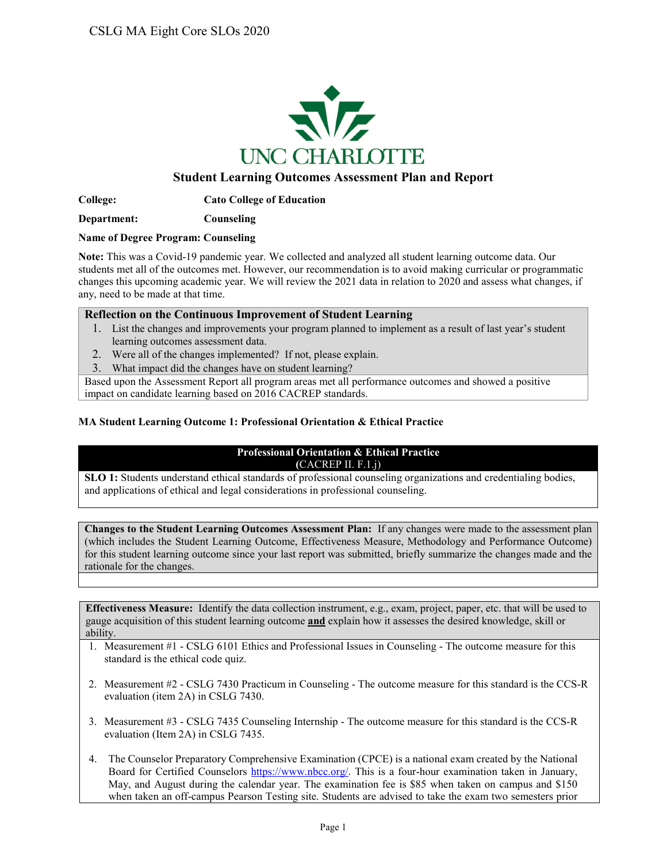

### **Student Learning Outcomes Assessment Plan and Report**

**College: Cato College of Education**

**Department: Counseling**

#### **Name of Degree Program: Counseling**

**Note:** This was a Covid-19 pandemic year. We collected and analyzed all student learning outcome data. Our students met all of the outcomes met. However, our recommendation is to avoid making curricular or programmatic changes this upcoming academic year. We will review the 2021 data in relation to 2020 and assess what changes, if any, need to be made at that time.

#### **Reflection on the Continuous Improvement of Student Learning**

- 1. List the changes and improvements your program planned to implement as a result of last year's student learning outcomes assessment data.
- 2. Were all of the changes implemented? If not, please explain.
- 3. What impact did the changes have on student learning?

Based upon the Assessment Report all program areas met all performance outcomes and showed a positive impact on candidate learning based on 2016 CACREP standards.

#### **MA Student Learning Outcome 1: Professional Orientation & Ethical Practice**

### **Professional Orientation & Ethical Practice (**CACREP II. F.1.j)

**SLO 1:** Students understand ethical standards of professional counseling organizations and credentialing bodies, and applications of ethical and legal considerations in professional counseling.

**Changes to the Student Learning Outcomes Assessment Plan:** If any changes were made to the assessment plan (which includes the Student Learning Outcome, Effectiveness Measure, Methodology and Performance Outcome) for this student learning outcome since your last report was submitted, briefly summarize the changes made and the rationale for the changes.

- 1. Measurement #1 CSLG 6101 Ethics and Professional Issues in Counseling The outcome measure for this standard is the ethical code quiz.
- 2. Measurement #2 CSLG 7430 Practicum in Counseling The outcome measure for this standard is the CCS-R evaluation (item 2A) in CSLG 7430.
- 3. Measurement #3 CSLG 7435 Counseling Internship The outcome measure for this standard is the CCS-R evaluation (Item 2A) in CSLG 7435.
- 4. The Counselor Preparatory Comprehensive Examination (CPCE) is a national exam created by the National Board for Certified Counselors [https://www.nbcc.org/.](http://www.nbcc.org/Exam/NationalCounselorExaminationForLicensureAndCertification) This is a four-hour examination taken in January, May, and August during the calendar year. The examination fee is \$85 when taken on campus and \$150 when taken an off-campus Pearson Testing site. Students are advised to take the exam two semesters prior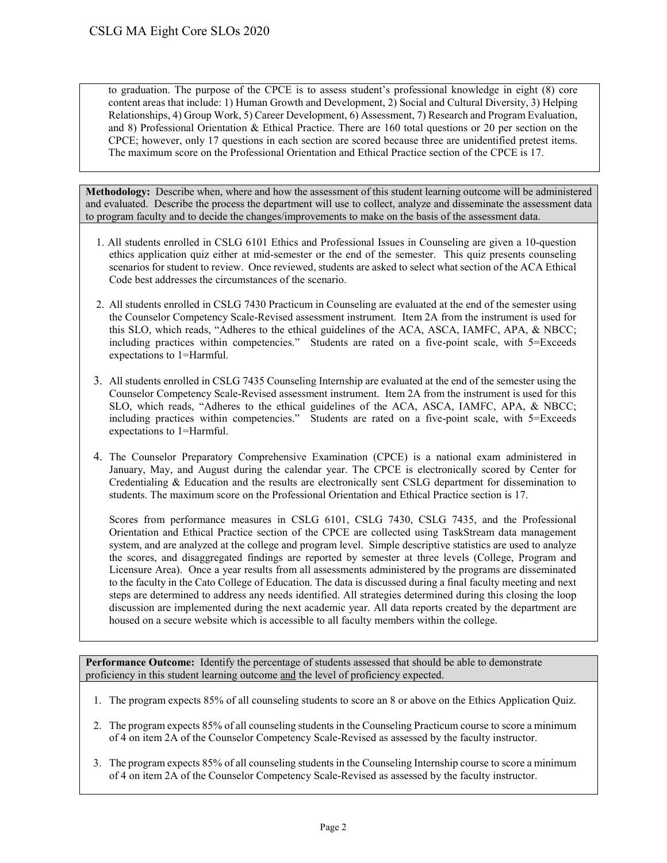to graduation. The purpose of the CPCE is to assess student's professional knowledge in eight (8) core content areas that include: 1) Human Growth and Development, 2) Social and Cultural Diversity, 3) Helping Relationships, 4) Group Work, 5) Career Development, 6) Assessment, 7) Research and Program Evaluation, and 8) Professional Orientation & Ethical Practice. There are 160 total questions or 20 per section on the CPCE; however, only 17 questions in each section are scored because three are unidentified pretest items. The maximum score on the Professional Orientation and Ethical Practice section of the CPCE is 17.

**Methodology:** Describe when, where and how the assessment of this student learning outcome will be administered and evaluated. Describe the process the department will use to collect, analyze and disseminate the assessment data to program faculty and to decide the changes/improvements to make on the basis of the assessment data.

- 1. All students enrolled in CSLG 6101 Ethics and Professional Issues in Counseling are given a 10-question ethics application quiz either at mid-semester or the end of the semester. This quiz presents counseling scenarios for student to review. Once reviewed, students are asked to select what section of the ACA Ethical Code best addresses the circumstances of the scenario.
- 2. All students enrolled in CSLG 7430 Practicum in Counseling are evaluated at the end of the semester using the Counselor Competency Scale-Revised assessment instrument. Item 2A from the instrument is used for this SLO, which reads, "Adheres to the ethical guidelines of the ACA, ASCA, IAMFC, APA, & NBCC; including practices within competencies." Students are rated on a five-point scale, with 5=Exceeds expectations to 1=Harmful.
- 3. All students enrolled in CSLG 7435 Counseling Internship are evaluated at the end of the semester using the Counselor Competency Scale-Revised assessment instrument. Item 2A from the instrument is used for this SLO, which reads, "Adheres to the ethical guidelines of the ACA, ASCA, IAMFC, APA, & NBCC; including practices within competencies." Students are rated on a five-point scale, with 5=Exceeds expectations to 1=Harmful.
- 4. The Counselor Preparatory Comprehensive Examination (CPCE) is a national exam administered in January, May, and August during the calendar year. The CPCE is electronically scored by Center for Credentialing & Education and the results are electronically sent CSLG department for dissemination to students. The maximum score on the Professional Orientation and Ethical Practice section is 17.

Scores from performance measures in CSLG 6101, CSLG 7430, CSLG 7435, and the Professional Orientation and Ethical Practice section of the CPCE are collected using TaskStream data management system, and are analyzed at the college and program level. Simple descriptive statistics are used to analyze the scores, and disaggregated findings are reported by semester at three levels (College, Program and Licensure Area). Once a year results from all assessments administered by the programs are disseminated to the faculty in the Cato College of Education. The data is discussed during a final faculty meeting and next steps are determined to address any needs identified. All strategies determined during this closing the loop discussion are implemented during the next academic year. All data reports created by the department are housed on a secure website which is accessible to all faculty members within the college.

- 1. The program expects 85% of all counseling students to score an 8 or above on the Ethics Application Quiz.
- 2. The program expects 85% of all counseling students in the Counseling Practicum course to score a minimum of 4 on item 2A of the Counselor Competency Scale-Revised as assessed by the faculty instructor.
- 3. The program expects 85% of all counseling students in the Counseling Internship course to score a minimum of 4 on item 2A of the Counselor Competency Scale-Revised as assessed by the faculty instructor.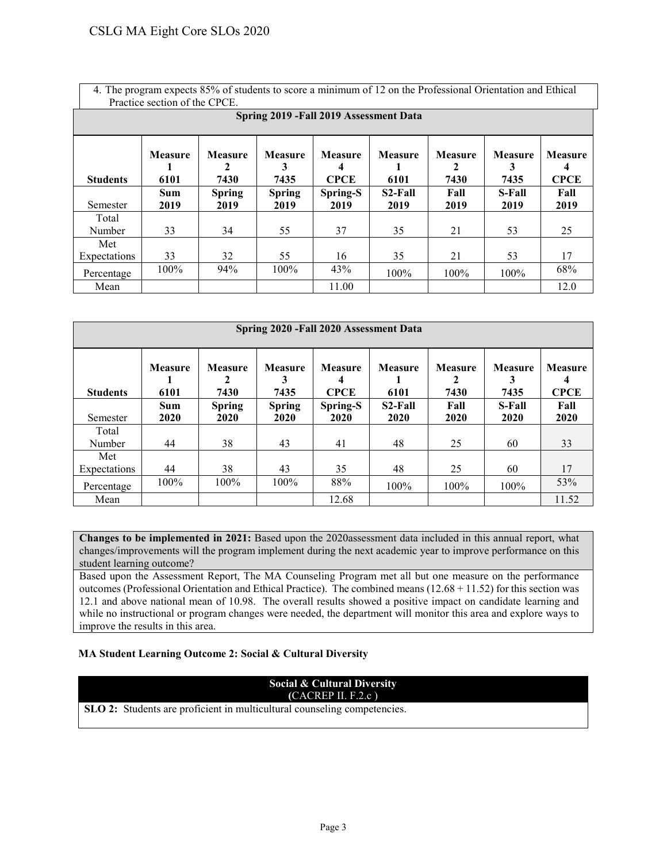4. The program expects 85% of students to score a minimum of 12 on the Professional Orientation and Ethical Practice section of the CPCE.

|                     | Spring 2019 - Fall 2019 Assessment Data |                             |                             |                                    |                        |                        |                        |                               |  |  |  |  |
|---------------------|-----------------------------------------|-----------------------------|-----------------------------|------------------------------------|------------------------|------------------------|------------------------|-------------------------------|--|--|--|--|
| <b>Students</b>     | <b>Measure</b><br>6101                  | <b>Measure</b><br>2<br>7430 | <b>Measure</b><br>3<br>7435 | <b>Measure</b><br>4<br><b>CPCE</b> | <b>Measure</b><br>6101 | <b>Measure</b><br>7430 | <b>Measure</b><br>7435 | <b>Measure</b><br><b>CPCE</b> |  |  |  |  |
| Semester            | Sum<br>2019                             | <b>Spring</b><br>2019       | <b>Spring</b><br>2019       | Spring-S<br>2019                   | S2-Fall<br>2019        | Fall<br>2019           | S-Fall<br>2019         | Fall<br>2019                  |  |  |  |  |
| Total<br>Number     | 33                                      | 34                          | 55                          | 37                                 | 35                     | 21                     | 53                     | 25                            |  |  |  |  |
| Met<br>Expectations | 33                                      | 32                          | 55                          | 16                                 | 35                     | 21                     | 53                     | 17                            |  |  |  |  |
| Percentage          | 100%                                    | 94%                         | 100%                        | 43%                                | 100%                   | 100%                   | 100%                   | 68%                           |  |  |  |  |
| Mean                |                                         |                             |                             | 11.00                              |                        |                        |                        | 12.0                          |  |  |  |  |

|                 | Spring 2020 - Fall 2020 Assessment Data |                             |                             |                                    |                        |                        |                             |                                    |  |  |  |  |
|-----------------|-----------------------------------------|-----------------------------|-----------------------------|------------------------------------|------------------------|------------------------|-----------------------------|------------------------------------|--|--|--|--|
| <b>Students</b> | <b>Measure</b><br>6101                  | <b>Measure</b><br>2<br>7430 | <b>Measure</b><br>3<br>7435 | <b>Measure</b><br>4<br><b>CPCE</b> | <b>Measure</b><br>6101 | <b>Measure</b><br>7430 | <b>Measure</b><br>3<br>7435 | <b>Measure</b><br>4<br><b>CPCE</b> |  |  |  |  |
|                 | Sum                                     | <b>Spring</b>               | <b>Spring</b>               | Spring-S                           | $S2$ -Fall             | Fall                   | S-Fall                      | Fall                               |  |  |  |  |
| Semester        | 2020                                    | 2020                        | 2020                        | 2020                               | 2020                   | 2020                   | 2020                        | 2020                               |  |  |  |  |
| Total           |                                         |                             |                             |                                    |                        |                        |                             |                                    |  |  |  |  |
| Number          | 44                                      | 38                          | 43                          | 41                                 | 48                     | 25                     | 60                          | 33                                 |  |  |  |  |
| Met             |                                         |                             |                             |                                    |                        |                        |                             |                                    |  |  |  |  |
| Expectations    | 44                                      | 38                          | 43                          | 35                                 | 48                     | 25                     | 60                          | 17                                 |  |  |  |  |
| Percentage      | 100%                                    | 100%                        | 100%                        | 88%                                | 100%                   | 100%                   | 100%                        | 53%                                |  |  |  |  |
| Mean            |                                         |                             |                             | 12.68                              |                        |                        |                             | 11.52                              |  |  |  |  |

**Changes to be implemented in 2021:** Based upon the 2020assessment data included in this annual report, what changes/improvements will the program implement during the next academic year to improve performance on this student learning outcome?

Based upon the Assessment Report, The MA Counseling Program met all but one measure on the performance outcomes (Professional Orientation and Ethical Practice). The combined means  $(12.68 + 11.52)$  for this section was 12.1 and above national mean of 10.98. The overall results showed a positive impact on candidate learning and while no instructional or program changes were needed, the department will monitor this area and explore ways to improve the results in this area.

#### **MA Student Learning Outcome 2: Social & Cultural Diversity**

# **Social & Cultural Diversity (**CACREP II. F.2.c )

**SLO 2:** Students are proficient in multicultural counseling competencies.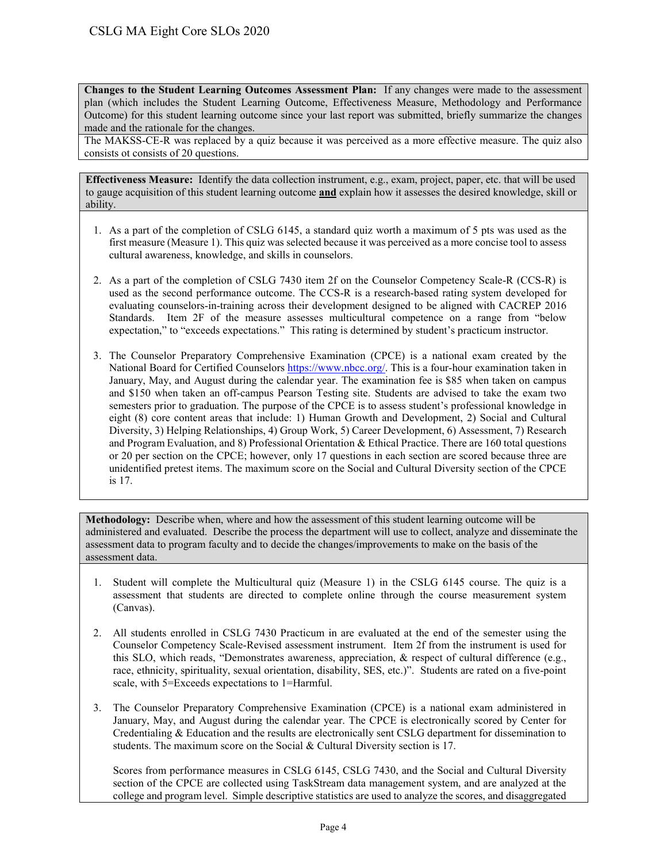**Changes to the Student Learning Outcomes Assessment Plan:** If any changes were made to the assessment plan (which includes the Student Learning Outcome, Effectiveness Measure, Methodology and Performance Outcome) for this student learning outcome since your last report was submitted, briefly summarize the changes made and the rationale for the changes.

The MAKSS-CE-R was replaced by a quiz because it was perceived as a more effective measure. The quiz also consists ot consists of 20 questions.

**Effectiveness Measure:** Identify the data collection instrument, e.g., exam, project, paper, etc. that will be used to gauge acquisition of this student learning outcome **and** explain how it assesses the desired knowledge, skill or ability.

- 1. As a part of the completion of CSLG 6145, a standard quiz worth a maximum of 5 pts was used as the first measure (Measure 1). This quiz was selected because it was perceived as a more concise tool to assess cultural awareness, knowledge, and skills in counselors.
- 2. As a part of the completion of CSLG 7430 item 2f on the Counselor Competency Scale-R (CCS-R) is used as the second performance outcome. The CCS-R is a research-based rating system developed for evaluating counselors-in-training across their development designed to be aligned with CACREP 2016 Standards. Item 2F of the measure assesses multicultural competence on a range from "below expectation," to "exceeds expectations." This rating is determined by student's practicum instructor.
- 3. The Counselor Preparatory Comprehensive Examination (CPCE) is a national exam created by the National Board for Certified Counselors [https://www.nbcc.org/.](http://www.nbcc.org/Exam/NationalCounselorExaminationForLicensureAndCertification) This is a four-hour examination taken in January, May, and August during the calendar year. The examination fee is \$85 when taken on campus and \$150 when taken an off-campus Pearson Testing site. Students are advised to take the exam two semesters prior to graduation. The purpose of the CPCE is to assess student's professional knowledge in eight (8) core content areas that include: 1) Human Growth and Development, 2) Social and Cultural Diversity, 3) Helping Relationships, 4) Group Work, 5) Career Development, 6) Assessment, 7) Research and Program Evaluation, and 8) Professional Orientation & Ethical Practice. There are 160 total questions or 20 per section on the CPCE; however, only 17 questions in each section are scored because three are unidentified pretest items. The maximum score on the Social and Cultural Diversity section of the CPCE is 17.

**Methodology:** Describe when, where and how the assessment of this student learning outcome will be administered and evaluated. Describe the process the department will use to collect, analyze and disseminate the assessment data to program faculty and to decide the changes/improvements to make on the basis of the assessment data.

- 1. Student will complete the Multicultural quiz (Measure 1) in the CSLG 6145 course. The quiz is a assessment that students are directed to complete online through the course measurement system (Canvas).
- 2. All students enrolled in CSLG 7430 Practicum in are evaluated at the end of the semester using the Counselor Competency Scale-Revised assessment instrument. Item 2f from the instrument is used for this SLO, which reads, "Demonstrates awareness, appreciation, & respect of cultural difference (e.g., race, ethnicity, spirituality, sexual orientation, disability, SES, etc.)". Students are rated on a five-point scale, with 5=Exceeds expectations to 1=Harmful.
- 3. The Counselor Preparatory Comprehensive Examination (CPCE) is a national exam administered in January, May, and August during the calendar year. The CPCE is electronically scored by Center for Credentialing & Education and the results are electronically sent CSLG department for dissemination to students. The maximum score on the Social & Cultural Diversity section is 17.

Scores from performance measures in CSLG 6145, CSLG 7430, and the Social and Cultural Diversity section of the CPCE are collected using TaskStream data management system, and are analyzed at the college and program level. Simple descriptive statistics are used to analyze the scores, and disaggregated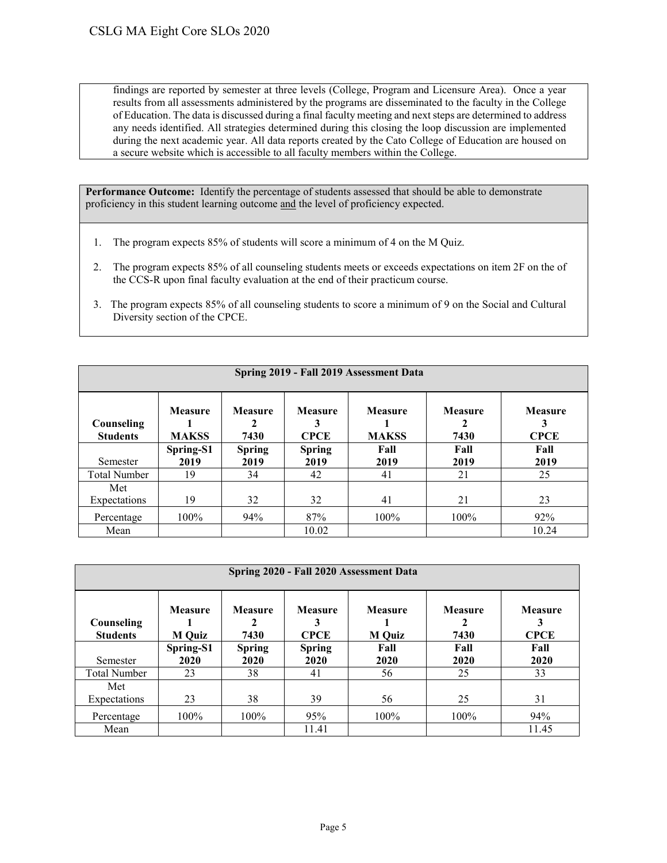findings are reported by semester at three levels (College, Program and Licensure Area). Once a year results from all assessments administered by the programs are disseminated to the faculty in the College of Education. The data is discussed during a final faculty meeting and next steps are determined to address any needs identified. All strategies determined during this closing the loop discussion are implemented during the next academic year. All data reports created by the Cato College of Education are housed on a secure website which is accessible to all faculty members within the College.

- 1. The program expects 85% of students will score a minimum of 4 on the M Quiz.
- 2. The program expects 85% of all counseling students meets or exceeds expectations on item 2F on the of the CCS-R upon final faculty evaluation at the end of their practicum course.
- 3. The program expects 85% of all counseling students to score a minimum of 9 on the Social and Cultural Diversity section of the CPCE.

| Spring 2019 - Fall 2019 Assessment Data |                         |                             |                                    |                         |                             |                               |  |  |  |  |
|-----------------------------------------|-------------------------|-----------------------------|------------------------------------|-------------------------|-----------------------------|-------------------------------|--|--|--|--|
| Counseling<br><b>Students</b>           | Measure<br><b>MAKSS</b> | <b>Measure</b><br>2<br>7430 | <b>Measure</b><br>3<br><b>CPCE</b> | Measure<br><b>MAKSS</b> | <b>Measure</b><br>2<br>7430 | <b>Measure</b><br><b>CPCE</b> |  |  |  |  |
|                                         | Spring-S1               | <b>Spring</b>               | <b>Spring</b>                      | Fall                    | Fall                        | Fall                          |  |  |  |  |
| Semester                                | 2019                    | 2019                        | 2019                               | 2019                    | 2019                        | 2019                          |  |  |  |  |
| <b>Total Number</b>                     | 19                      | 34                          | 42                                 | 41                      | 21                          | 25                            |  |  |  |  |
| Met<br>Expectations                     | 19                      | 32                          | 32                                 | 41                      | 21                          | 23                            |  |  |  |  |
| Percentage                              | 100%                    | 94%                         | 87%                                | 100%                    | 100%                        | 92%                           |  |  |  |  |
| Mean                                    |                         |                             | 10.02                              |                         |                             | 10.24                         |  |  |  |  |

| Spring 2020 - Fall 2020 Assessment Data |                                 |                        |                                    |                                 |                        |                               |  |  |  |  |  |
|-----------------------------------------|---------------------------------|------------------------|------------------------------------|---------------------------------|------------------------|-------------------------------|--|--|--|--|--|
| Counseling<br><b>Students</b>           | <b>Measure</b><br><b>M</b> Quiz | <b>Measure</b><br>7430 | <b>Measure</b><br>3<br><b>CPCE</b> | <b>Measure</b><br><b>M</b> Quiz | <b>Measure</b><br>7430 | <b>Measure</b><br><b>CPCE</b> |  |  |  |  |  |
|                                         | Spring-S1                       | <b>Spring</b>          | <b>Spring</b>                      | Fall                            | Fall                   | Fall                          |  |  |  |  |  |
| Semester                                | 2020                            | 2020                   | 2020                               | 2020                            | 2020                   | 2020                          |  |  |  |  |  |
| <b>Total Number</b>                     | 23                              | 38                     | 41                                 | 56                              | 25                     | 33                            |  |  |  |  |  |
| Met                                     |                                 |                        |                                    |                                 |                        |                               |  |  |  |  |  |
| Expectations                            | 23                              | 38                     | 39                                 | 56                              | 25                     | 31                            |  |  |  |  |  |
| Percentage                              | $100\%$                         | $100\%$                | 95%                                | 100%                            | 100%                   | 94%                           |  |  |  |  |  |
| Mean                                    |                                 |                        | 11.41                              |                                 |                        | 11.45                         |  |  |  |  |  |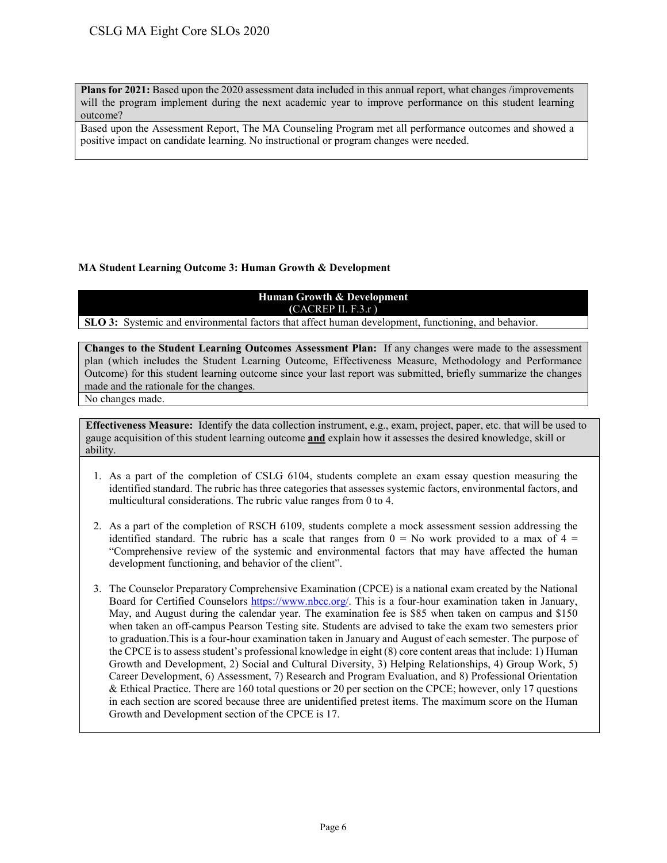**Plans for 2021:** Based upon the 2020 assessment data included in this annual report, what changes /improvements will the program implement during the next academic year to improve performance on this student learning outcome?

Based upon the Assessment Report, The MA Counseling Program met all performance outcomes and showed a positive impact on candidate learning. No instructional or program changes were needed.

### **MA Student Learning Outcome 3: Human Growth & Development**

# **Human Growth & Development (**CACREP II. F.3.r )

**SLO 3:** Systemic and environmental factors that affect human development, functioning, and behavior.

**Changes to the Student Learning Outcomes Assessment Plan:** If any changes were made to the assessment plan (which includes the Student Learning Outcome, Effectiveness Measure, Methodology and Performance Outcome) for this student learning outcome since your last report was submitted, briefly summarize the changes made and the rationale for the changes.

No changes made.

- 1. As a part of the completion of CSLG 6104, students complete an exam essay question measuring the identified standard. The rubric has three categories that assesses systemic factors, environmental factors, and multicultural considerations. The rubric value ranges from 0 to 4.
- 2. As a part of the completion of RSCH 6109, students complete a mock assessment session addressing the identified standard. The rubric has a scale that ranges from  $0 = No$  work provided to a max of  $4 =$ "Comprehensive review of the systemic and environmental factors that may have affected the human development functioning, and behavior of the client".
- 3. The Counselor Preparatory Comprehensive Examination (CPCE) is a national exam created by the National Board for Certified Counselors [https://www.nbcc.org/.](http://www.nbcc.org/Exam/NationalCounselorExaminationForLicensureAndCertification) This is a four-hour examination taken in January, May, and August during the calendar year. The examination fee is \$85 when taken on campus and \$150 when taken an off-campus Pearson Testing site. Students are advised to take the exam two semesters prior to graduation.This is a four-hour examination taken in January and August of each semester. The purpose of the CPCE is to assess student's professional knowledge in eight (8) core content areas that include: 1) Human Growth and Development, 2) Social and Cultural Diversity, 3) Helping Relationships, 4) Group Work, 5) Career Development, 6) Assessment, 7) Research and Program Evaluation, and 8) Professional Orientation & Ethical Practice. There are 160 total questions or 20 per section on the CPCE; however, only 17 questions in each section are scored because three are unidentified pretest items. The maximum score on the Human Growth and Development section of the CPCE is 17.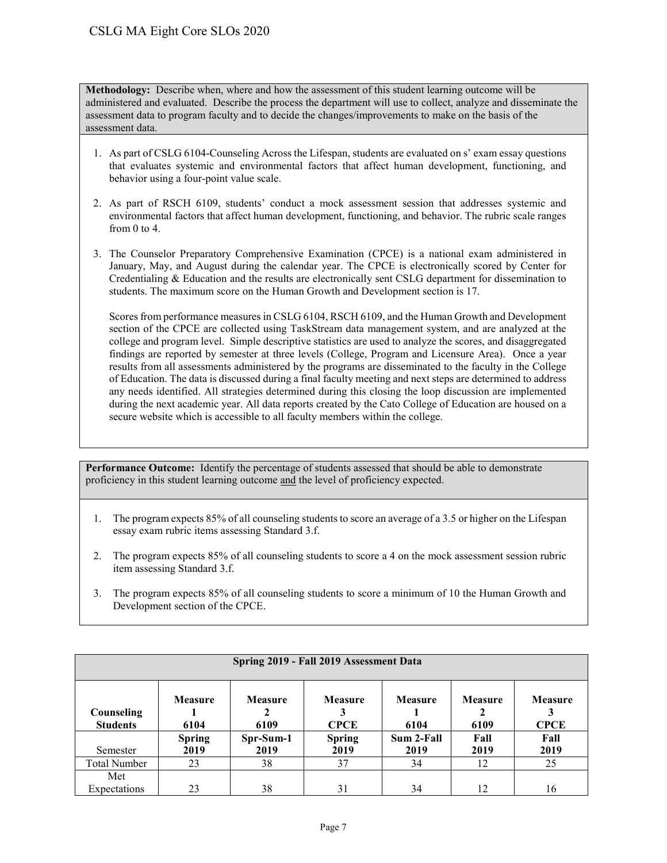**Methodology:** Describe when, where and how the assessment of this student learning outcome will be administered and evaluated. Describe the process the department will use to collect, analyze and disseminate the assessment data to program faculty and to decide the changes/improvements to make on the basis of the assessment data.

- 1. As part of CSLG 6104-Counseling Across the Lifespan, students are evaluated on s' exam essay questions that evaluates systemic and environmental factors that affect human development, functioning, and behavior using a four-point value scale.
- 2. As part of RSCH 6109, students' conduct a mock assessment session that addresses systemic and environmental factors that affect human development, functioning, and behavior. The rubric scale ranges from 0 to 4.
- 3. The Counselor Preparatory Comprehensive Examination (CPCE) is a national exam administered in January, May, and August during the calendar year. The CPCE is electronically scored by Center for Credentialing & Education and the results are electronically sent CSLG department for dissemination to students. The maximum score on the Human Growth and Development section is 17.

Scores from performance measures in CSLG 6104, RSCH 6109, and the Human Growth and Development section of the CPCE are collected using TaskStream data management system, and are analyzed at the college and program level. Simple descriptive statistics are used to analyze the scores, and disaggregated findings are reported by semester at three levels (College, Program and Licensure Area). Once a year results from all assessments administered by the programs are disseminated to the faculty in the College of Education. The data is discussed during a final faculty meeting and next steps are determined to address any needs identified. All strategies determined during this closing the loop discussion are implemented during the next academic year. All data reports created by the Cato College of Education are housed on a secure website which is accessible to all faculty members within the college.

- 1. The program expects 85% of all counseling students to score an average of a 3.5 or higher on the Lifespan essay exam rubric items assessing Standard 3.f.
- 2. The program expects 85% of all counseling students to score a 4 on the mock assessment session rubric item assessing Standard 3.f.
- 3. The program expects 85% of all counseling students to score a minimum of 10 the Human Growth and Development section of the CPCE.

|                               | Spring 2019 - Fall 2019 Assessment Data |                        |                               |                        |                        |                               |  |  |  |  |  |  |
|-------------------------------|-----------------------------------------|------------------------|-------------------------------|------------------------|------------------------|-------------------------------|--|--|--|--|--|--|
| Counseling<br><b>Students</b> | <b>Measure</b><br>6104                  | <b>Measure</b><br>6109 | <b>Measure</b><br><b>CPCE</b> | <b>Measure</b><br>6104 | <b>Measure</b><br>6109 | <b>Measure</b><br><b>CPCE</b> |  |  |  |  |  |  |
| Semester                      | <b>Spring</b><br>2019                   | Spr-Sum-1<br>2019      | <b>Spring</b><br>2019         | Sum 2-Fall<br>2019     | Fall<br>2019           | Fall<br>2019                  |  |  |  |  |  |  |
| <b>Total Number</b>           | 23                                      | 38                     | 37                            | 34                     | 12                     | 25                            |  |  |  |  |  |  |
| Met<br>Expectations           | 23                                      | 38                     | 31                            | 34                     | 12                     | 16                            |  |  |  |  |  |  |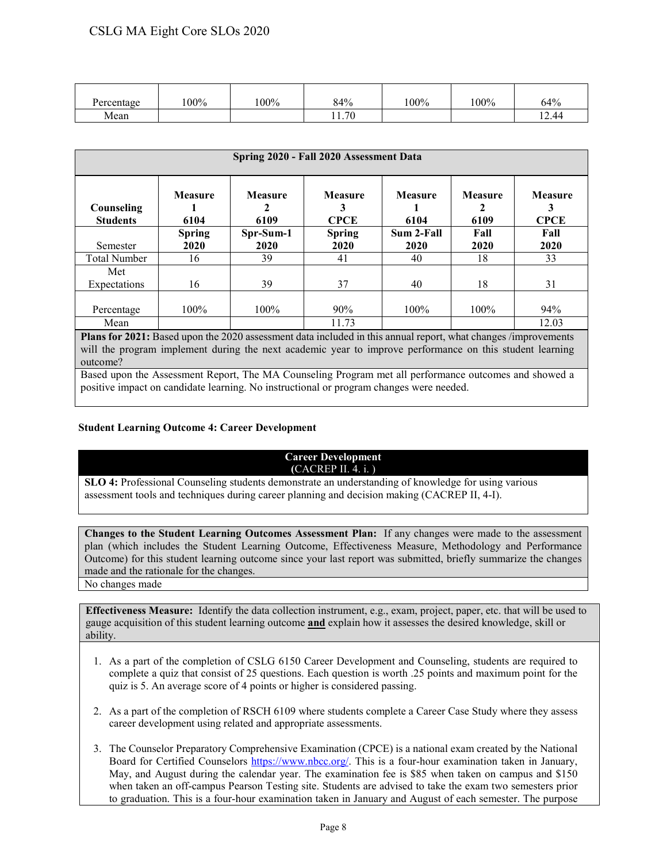| Percentage | 100% | 100% | 84%   | 100% | $100\%$ | 64%   |
|------------|------|------|-------|------|---------|-------|
| Mean       |      |      | 11.70 |      |         | 12.44 |

| Spring 2020 - Fall 2020 Assessment Data |                 |                        |                             |                        |                        |                               |  |  |  |  |
|-----------------------------------------|-----------------|------------------------|-----------------------------|------------------------|------------------------|-------------------------------|--|--|--|--|
| Counseling<br><b>Students</b>           | Measure<br>6104 | <b>Measure</b><br>6109 | Measure<br>3<br><b>CPCE</b> | <b>Measure</b><br>6104 | <b>Measure</b><br>6109 | <b>Measure</b><br><b>CPCE</b> |  |  |  |  |
|                                         | <b>Spring</b>   | Spr-Sum-1              | <b>Spring</b>               | Sum 2-Fall             | Fall                   | Fall                          |  |  |  |  |
| Semester                                | 2020            | 2020                   | 2020                        | 2020                   | 2020                   | 2020                          |  |  |  |  |
| <b>Total Number</b>                     | 16              | 39                     | 41                          | 40                     | 18                     | 33                            |  |  |  |  |
| Met                                     |                 |                        |                             |                        |                        |                               |  |  |  |  |
| Expectations                            | 16              | 39                     | 37                          | 40                     | 18                     | 31                            |  |  |  |  |
|                                         |                 |                        |                             |                        |                        |                               |  |  |  |  |
| Percentage                              | $100\%$         | $100\%$                | 90%                         | $100\%$                | $100\%$                | 94%                           |  |  |  |  |
| Mean                                    |                 |                        | 11.73                       |                        |                        | 12.03                         |  |  |  |  |

**Plans for 2021:** Based upon the 2020 assessment data included in this annual report, what changes /improvements will the program implement during the next academic year to improve performance on this student learning outcome?

Based upon the Assessment Report, The MA Counseling Program met all performance outcomes and showed a positive impact on candidate learning. No instructional or program changes were needed.

#### **Student Learning Outcome 4: Career Development**

#### **Career Development (**CACREP II. 4. i. )

**SLO 4:** Professional Counseling students demonstrate an understanding of knowledge for using various assessment tools and techniques during career planning and decision making (CACREP II, 4-I).

**Changes to the Student Learning Outcomes Assessment Plan:** If any changes were made to the assessment plan (which includes the Student Learning Outcome, Effectiveness Measure, Methodology and Performance Outcome) for this student learning outcome since your last report was submitted, briefly summarize the changes made and the rationale for the changes.

No changes made

- 1. As a part of the completion of CSLG 6150 Career Development and Counseling, students are required to complete a quiz that consist of 25 questions. Each question is worth .25 points and maximum point for the quiz is 5. An average score of 4 points or higher is considered passing.
- 2. As a part of the completion of RSCH 6109 where students complete a Career Case Study where they assess career development using related and appropriate assessments.
- 3. The Counselor Preparatory Comprehensive Examination (CPCE) is a national exam created by the National Board for Certified Counselors [https://www.nbcc.org/.](http://www.nbcc.org/Exam/NationalCounselorExaminationForLicensureAndCertification) This is a four-hour examination taken in January, May, and August during the calendar year. The examination fee is \$85 when taken on campus and \$150 when taken an off-campus Pearson Testing site. Students are advised to take the exam two semesters prior to graduation. This is a four-hour examination taken in January and August of each semester. The purpose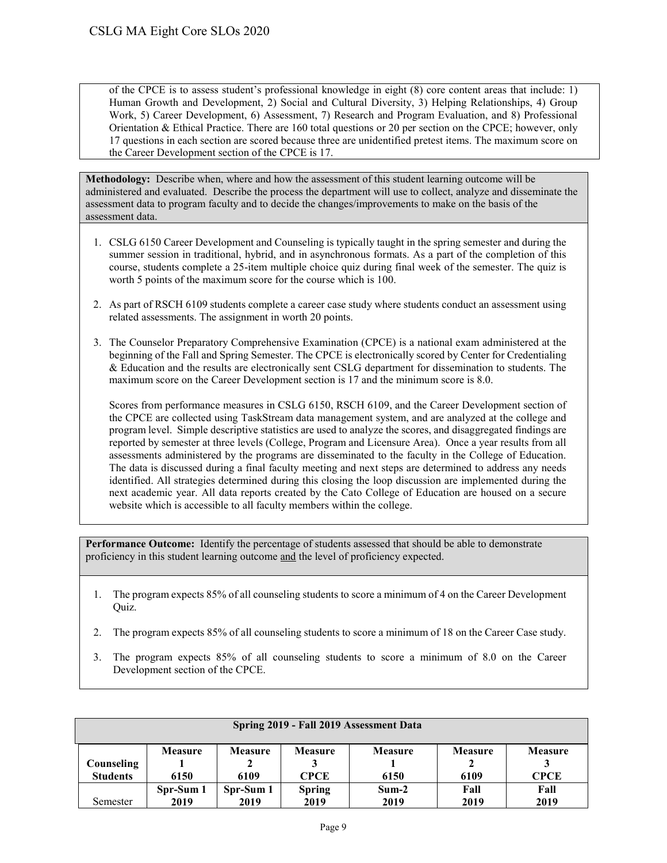of the CPCE is to assess student's professional knowledge in eight (8) core content areas that include: 1) Human Growth and Development, 2) Social and Cultural Diversity, 3) Helping Relationships, 4) Group Work, 5) Career Development, 6) Assessment, 7) Research and Program Evaluation, and 8) Professional Orientation & Ethical Practice. There are 160 total questions or 20 per section on the CPCE; however, only 17 questions in each section are scored because three are unidentified pretest items. The maximum score on the Career Development section of the CPCE is 17.

**Methodology:** Describe when, where and how the assessment of this student learning outcome will be administered and evaluated. Describe the process the department will use to collect, analyze and disseminate the assessment data to program faculty and to decide the changes/improvements to make on the basis of the assessment data.

- 1. CSLG 6150 Career Development and Counseling is typically taught in the spring semester and during the summer session in traditional, hybrid, and in asynchronous formats. As a part of the completion of this course, students complete a 25-item multiple choice quiz during final week of the semester. The quiz is worth 5 points of the maximum score for the course which is 100.
- 2. As part of RSCH 6109 students complete a career case study where students conduct an assessment using related assessments. The assignment in worth 20 points.
- 3. The Counselor Preparatory Comprehensive Examination (CPCE) is a national exam administered at the beginning of the Fall and Spring Semester. The CPCE is electronically scored by Center for Credentialing & Education and the results are electronically sent CSLG department for dissemination to students. The maximum score on the Career Development section is 17 and the minimum score is 8.0.

Scores from performance measures in CSLG 6150, RSCH 6109, and the Career Development section of the CPCE are collected using TaskStream data management system, and are analyzed at the college and program level. Simple descriptive statistics are used to analyze the scores, and disaggregated findings are reported by semester at three levels (College, Program and Licensure Area). Once a year results from all assessments administered by the programs are disseminated to the faculty in the College of Education. The data is discussed during a final faculty meeting and next steps are determined to address any needs identified. All strategies determined during this closing the loop discussion are implemented during the next academic year. All data reports created by the Cato College of Education are housed on a secure website which is accessible to all faculty members within the college.

- 1. The program expects 85% of all counseling students to score a minimum of 4 on the Career Development Quiz.
- 2. The program expects 85% of all counseling students to score a minimum of 18 on the Career Case study.
- 3. The program expects 85% of all counseling students to score a minimum of 8.0 on the Career Development section of the CPCE.

|                   | Spring 2019 - Fall 2019 Assessment Data |                   |                       |                 |              |                |  |  |  |  |  |  |
|-------------------|-----------------------------------------|-------------------|-----------------------|-----------------|--------------|----------------|--|--|--|--|--|--|
| <b>Counseling</b> | <b>Measure</b>                          | <b>Measure</b>    | <b>Measure</b>        | <b>Measure</b>  | Measure      | <b>Measure</b> |  |  |  |  |  |  |
| <b>Students</b>   | 6150                                    | 6109              | <b>CPCE</b>           | 6150            | 6109         | <b>CPCE</b>    |  |  |  |  |  |  |
| Semester          | Spr-Sum 1<br>2019                       | Spr-Sum 1<br>2019 | <b>Spring</b><br>2019 | $Sum-2$<br>2019 | Fall<br>2019 | Fall<br>2019   |  |  |  |  |  |  |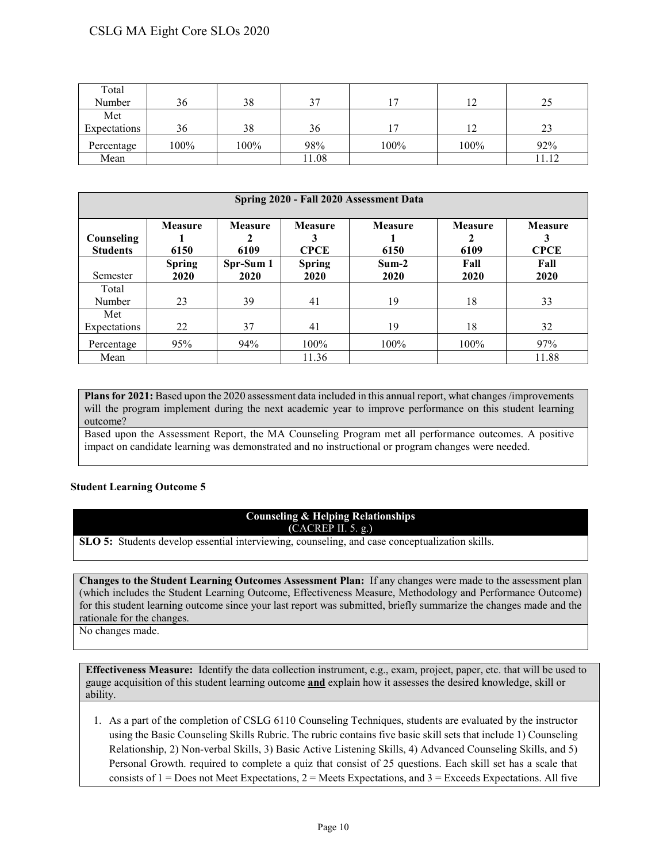| Total        |      |      |       |            |      |       |
|--------------|------|------|-------|------------|------|-------|
| Number       | 36   | 38   | 37    | $\sqrt{7}$ | 12   | 25    |
| Met          |      |      |       |            |      |       |
| Expectations | 36   | 38   | 36    | r,         | 12   | 23    |
| Percentage   | 100% | 100% | 98%   | 100%       | 100% | 92%   |
| Mean         |      |      | 11.08 |            |      | 11.12 |

| Spring 2020 - Fall 2020 Assessment Data |                        |                        |                                    |                        |                        |                                    |  |  |  |  |
|-----------------------------------------|------------------------|------------------------|------------------------------------|------------------------|------------------------|------------------------------------|--|--|--|--|
| Counseling<br><b>Students</b>           | <b>Measure</b><br>6150 | <b>Measure</b><br>6109 | <b>Measure</b><br>3<br><b>CPCE</b> | <b>Measure</b><br>6150 | <b>Measure</b><br>6109 | <b>Measure</b><br>3<br><b>CPCE</b> |  |  |  |  |
| Semester                                | <b>Spring</b><br>2020  | Spr-Sum 1<br>2020      | <b>Spring</b><br>2020              | $Sum-2$<br>2020        | Fall<br>2020           | Fall<br>2020                       |  |  |  |  |
| Total<br>Number                         | 23                     | 39                     | 41                                 | 19                     | 18                     | 33                                 |  |  |  |  |
| Met<br>Expectations                     | 22                     | 37                     | 41                                 | 19                     | 18                     | 32                                 |  |  |  |  |
| Percentage                              | 95%                    | 94%                    | $100\%$                            | 100%                   | $100\%$                | 97%                                |  |  |  |  |
| Mean                                    |                        |                        | 11.36                              |                        |                        | 11.88                              |  |  |  |  |

**Plans for 2021:** Based upon the 2020 assessment data included in this annual report, what changes /improvements will the program implement during the next academic year to improve performance on this student learning outcome?

Based upon the Assessment Report, the MA Counseling Program met all performance outcomes. A positive impact on candidate learning was demonstrated and no instructional or program changes were needed.

#### **Student Learning Outcome 5**

#### **Counseling & Helping Relationships (**CACREP II. 5. g.)

**SLO 5:** Students develop essential interviewing, counseling, and case conceptualization skills.

**Changes to the Student Learning Outcomes Assessment Plan:** If any changes were made to the assessment plan (which includes the Student Learning Outcome, Effectiveness Measure, Methodology and Performance Outcome) for this student learning outcome since your last report was submitted, briefly summarize the changes made and the rationale for the changes.

No changes made.

**Effectiveness Measure:** Identify the data collection instrument, e.g., exam, project, paper, etc. that will be used to gauge acquisition of this student learning outcome **and** explain how it assesses the desired knowledge, skill or ability.

1. As a part of the completion of CSLG 6110 Counseling Techniques, students are evaluated by the instructor using the Basic Counseling Skills Rubric. The rubric contains five basic skill sets that include 1) Counseling Relationship, 2) Non-verbal Skills, 3) Basic Active Listening Skills, 4) Advanced Counseling Skills, and 5) Personal Growth. required to complete a quiz that consist of 25 questions. Each skill set has a scale that consists of  $1 =$  Does not Meet Expectations,  $2 =$  Meets Expectations, and  $3 =$  Exceeds Expectations. All five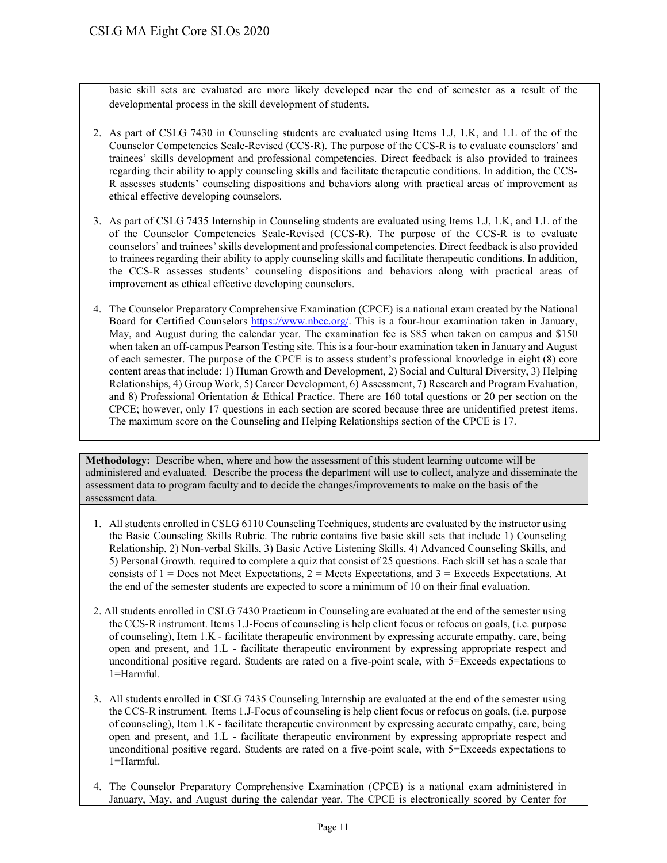basic skill sets are evaluated are more likely developed near the end of semester as a result of the developmental process in the skill development of students.

- 2. As part of CSLG 7430 in Counseling students are evaluated using Items 1.J, 1.K, and 1.L of the of the Counselor Competencies Scale-Revised (CCS-R). The purpose of the CCS-R is to evaluate counselors' and trainees' skills development and professional competencies. Direct feedback is also provided to trainees regarding their ability to apply counseling skills and facilitate therapeutic conditions. In addition, the CCS-R assesses students' counseling dispositions and behaviors along with practical areas of improvement as ethical effective developing counselors.
- 3. As part of CSLG 7435 Internship in Counseling students are evaluated using Items 1.J, 1.K, and 1.L of the of the Counselor Competencies Scale-Revised (CCS-R). The purpose of the CCS-R is to evaluate counselors' and trainees' skills development and professional competencies. Direct feedback is also provided to trainees regarding their ability to apply counseling skills and facilitate therapeutic conditions. In addition, the CCS-R assesses students' counseling dispositions and behaviors along with practical areas of improvement as ethical effective developing counselors.
- 4. The Counselor Preparatory Comprehensive Examination (CPCE) is a national exam created by the National Board for Certified Counselors [https://www.nbcc.org/.](http://www.nbcc.org/Exam/NationalCounselorExaminationForLicensureAndCertification) This is a four-hour examination taken in January, May, and August during the calendar year. The examination fee is \$85 when taken on campus and \$150 when taken an off-campus Pearson Testing site. This is a four-hour examination taken in January and August of each semester. The purpose of the CPCE is to assess student's professional knowledge in eight (8) core content areas that include: 1) Human Growth and Development, 2) Social and Cultural Diversity, 3) Helping Relationships, 4) Group Work, 5) Career Development, 6) Assessment, 7) Research and Program Evaluation, and 8) Professional Orientation & Ethical Practice. There are 160 total questions or 20 per section on the CPCE; however, only 17 questions in each section are scored because three are unidentified pretest items. The maximum score on the Counseling and Helping Relationships section of the CPCE is 17.

**Methodology:** Describe when, where and how the assessment of this student learning outcome will be administered and evaluated. Describe the process the department will use to collect, analyze and disseminate the assessment data to program faculty and to decide the changes/improvements to make on the basis of the assessment data.

- 1. All students enrolled in CSLG 6110 Counseling Techniques, students are evaluated by the instructor using the Basic Counseling Skills Rubric. The rubric contains five basic skill sets that include 1) Counseling Relationship, 2) Non-verbal Skills, 3) Basic Active Listening Skills, 4) Advanced Counseling Skills, and 5) Personal Growth. required to complete a quiz that consist of 25 questions. Each skill set has a scale that consists of  $1 =$  Does not Meet Expectations,  $2 =$  Meets Expectations, and  $3 =$  Exceeds Expectations. At the end of the semester students are expected to score a minimum of 10 on their final evaluation.
- 2. All students enrolled in CSLG 7430 Practicum in Counseling are evaluated at the end of the semester using the CCS-R instrument. Items 1.J-Focus of counseling is help client focus or refocus on goals, (i.e. purpose of counseling), Item 1.K - facilitate therapeutic environment by expressing accurate empathy, care, being open and present, and 1.L - facilitate therapeutic environment by expressing appropriate respect and unconditional positive regard. Students are rated on a five-point scale, with 5=Exceeds expectations to 1=Harmful.
- 3. All students enrolled in CSLG 7435 Counseling Internship are evaluated at the end of the semester using the CCS-R instrument. Items 1.J-Focus of counseling is help client focus or refocus on goals, (i.e. purpose of counseling), Item 1.K - facilitate therapeutic environment by expressing accurate empathy, care, being open and present, and 1.L - facilitate therapeutic environment by expressing appropriate respect and unconditional positive regard. Students are rated on a five-point scale, with 5=Exceeds expectations to 1=Harmful.
- 4. The Counselor Preparatory Comprehensive Examination (CPCE) is a national exam administered in January, May, and August during the calendar year. The CPCE is electronically scored by Center for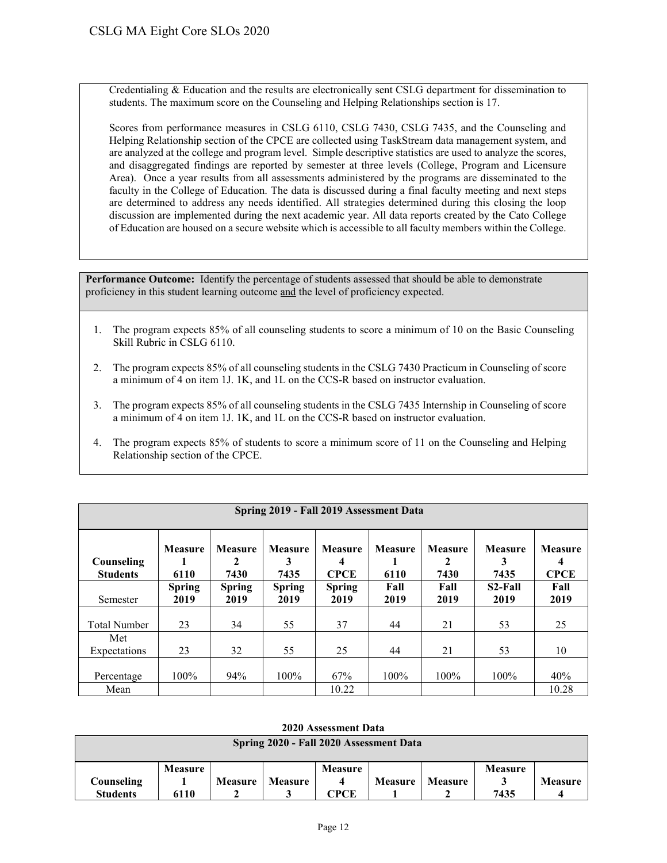Credentialing & Education and the results are electronically sent CSLG department for dissemination to students. The maximum score on the Counseling and Helping Relationships section is 17.

Scores from performance measures in CSLG 6110, CSLG 7430, CSLG 7435, and the Counseling and Helping Relationship section of the CPCE are collected using TaskStream data management system, and are analyzed at the college and program level. Simple descriptive statistics are used to analyze the scores, and disaggregated findings are reported by semester at three levels (College, Program and Licensure Area). Once a year results from all assessments administered by the programs are disseminated to the faculty in the College of Education. The data is discussed during a final faculty meeting and next steps are determined to address any needs identified. All strategies determined during this closing the loop discussion are implemented during the next academic year. All data reports created by the Cato College of Education are housed on a secure website which is accessible to all faculty members within the College.

**Performance Outcome:** Identify the percentage of students assessed that should be able to demonstrate proficiency in this student learning outcome and the level of proficiency expected.

- 1. The program expects 85% of all counseling students to score a minimum of 10 on the Basic Counseling Skill Rubric in CSLG 6110.
- 2. The program expects 85% of all counseling students in the CSLG 7430 Practicum in Counseling of score a minimum of 4 on item 1J. 1K, and 1L on the CCS-R based on instructor evaluation.
- 3. The program expects 85% of all counseling students in the CSLG 7435 Internship in Counseling of score a minimum of 4 on item 1J. 1K, and 1L on the CCS-R based on instructor evaluation.
- 4. The program expects 85% of students to score a minimum score of 11 on the Counseling and Helping Relationship section of the CPCE.

| Spring 2019 - Fall 2019 Assessment Data |                        |                             |                             |                                    |                        |                                        |                              |                                    |  |  |
|-----------------------------------------|------------------------|-----------------------------|-----------------------------|------------------------------------|------------------------|----------------------------------------|------------------------------|------------------------------------|--|--|
| Counseling<br><b>Students</b>           | <b>Measure</b><br>6110 | <b>Measure</b><br>2<br>7430 | <b>Measure</b><br>3<br>7435 | <b>Measure</b><br>4<br><b>CPCE</b> | <b>Measure</b><br>6110 | <b>Measure</b><br>$\mathbf{2}$<br>7430 | <b>Measure</b><br>3<br>7435  | <b>Measure</b><br>4<br><b>CPCE</b> |  |  |
| Semester                                | <b>Spring</b><br>2019  | <b>Spring</b><br>2019       | <b>Spring</b><br>2019       | <b>Spring</b><br>2019              | Fall<br>2019           | Fall<br>2019                           | S <sub>2</sub> -Fall<br>2019 | Fall<br>2019                       |  |  |
| <b>Total Number</b>                     | 23                     | 34                          | 55                          | 37                                 | 44                     | 21                                     | 53                           | 25                                 |  |  |
| Met<br>Expectations                     | 23                     | 32                          | 55                          | 25                                 | 44                     | 21                                     | 53                           | 10                                 |  |  |
| Percentage                              | $100\%$                | 94%                         | 100%                        | 67%                                | 100%                   | $100\%$                                | 100%                         | 40%                                |  |  |
| Mean                                    |                        |                             |                             | 10.22                              |                        |                                        |                              | 10.28                              |  |  |

|                                         | 4040 ASSESSMENt Data |                |                |                |                |                |                |                |  |  |  |  |
|-----------------------------------------|----------------------|----------------|----------------|----------------|----------------|----------------|----------------|----------------|--|--|--|--|
| Spring 2020 - Fall 2020 Assessment Data |                      |                |                |                |                |                |                |                |  |  |  |  |
|                                         |                      |                |                |                |                |                |                |                |  |  |  |  |
|                                         |                      |                |                |                |                |                |                |                |  |  |  |  |
|                                         | <b>Measure</b>       |                |                | <b>Measure</b> |                |                | <b>Measure</b> |                |  |  |  |  |
| Counseling                              |                      | <b>Measure</b> | <b>Measure</b> |                | <b>Measure</b> | <b>Measure</b> |                | <b>Measure</b> |  |  |  |  |
| <b>Students</b>                         | 6110                 |                |                | CPCE           |                |                | 7435           |                |  |  |  |  |

**2020 Assessment Data**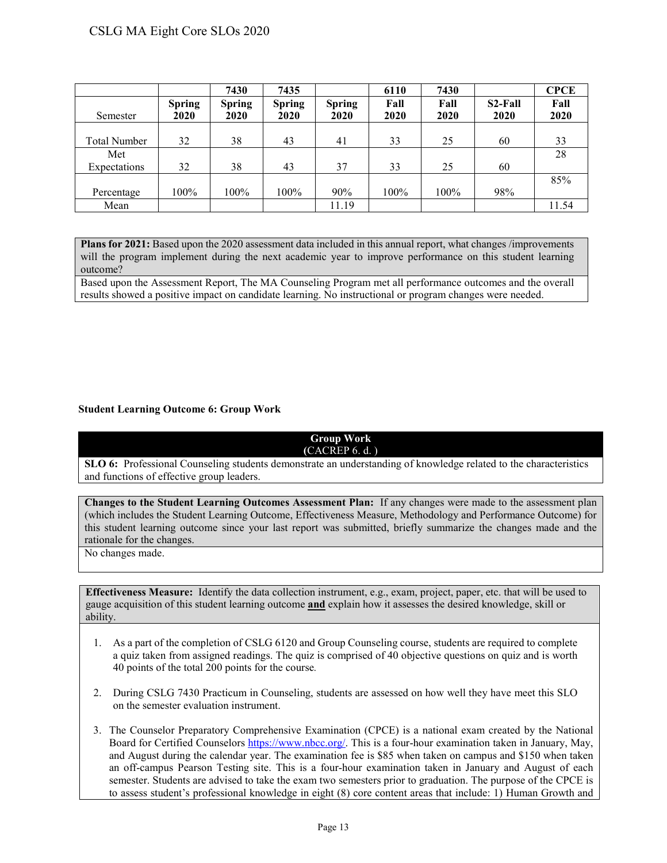# CSLG MA Eight Core SLOs 2020

|                     |                       | 7430                         | 7435                  |                       | 6110         | 7430         |                 | <b>CPCE</b>  |
|---------------------|-----------------------|------------------------------|-----------------------|-----------------------|--------------|--------------|-----------------|--------------|
| Semester            | <b>Spring</b><br>2020 | <b>Spring</b><br><b>2020</b> | <b>Spring</b><br>2020 | <b>Spring</b><br>2020 | Fall<br>2020 | Fall<br>2020 | S2-Fall<br>2020 | Fall<br>2020 |
|                     |                       |                              |                       |                       |              |              |                 |              |
| <b>Total Number</b> | 32                    | 38                           | 43                    | 41                    | 33           | 25           | 60              | 33           |
| Met                 |                       |                              |                       |                       |              |              |                 | 28           |
| Expectations        | 32                    | 38                           | 43                    | 37                    | 33           | 25           | 60              |              |
|                     |                       |                              |                       |                       |              |              |                 | 85%          |
| Percentage          | 100%                  | $100\%$                      | 100%                  | 90%                   | 100%         | 100%         | 98%             |              |
| Mean                |                       |                              |                       | 11.19                 |              |              |                 | 11.54        |

**Plans for 2021:** Based upon the 2020 assessment data included in this annual report, what changes /improvements will the program implement during the next academic year to improve performance on this student learning outcome?

Based upon the Assessment Report, The MA Counseling Program met all performance outcomes and the overall results showed a positive impact on candidate learning. No instructional or program changes were needed.

#### **Student Learning Outcome 6: Group Work**

#### **Group Work (**CACREP 6. d. )

**SLO 6:** Professional Counseling students demonstrate an understanding of knowledge related to the characteristics and functions of effective group leaders.

**Changes to the Student Learning Outcomes Assessment Plan:** If any changes were made to the assessment plan (which includes the Student Learning Outcome, Effectiveness Measure, Methodology and Performance Outcome) for this student learning outcome since your last report was submitted, briefly summarize the changes made and the rationale for the changes.

No changes made.

- 1. As a part of the completion of CSLG 6120 and Group Counseling course, students are required to complete a quiz taken from assigned readings. The quiz is comprised of 40 objective questions on quiz and is worth 40 points of the total 200 points for the course*.*
- 2. During CSLG 7430 Practicum in Counseling, students are assessed on how well they have meet this SLO on the semester evaluation instrument.
- 3. The Counselor Preparatory Comprehensive Examination (CPCE) is a national exam created by the National Board for Certified Counselors [https://www.nbcc.org/.](http://www.nbcc.org/Exam/NationalCounselorExaminationForLicensureAndCertification) This is a four-hour examination taken in January, May, and August during the calendar year. The examination fee is \$85 when taken on campus and \$150 when taken an off-campus Pearson Testing site. This is a four-hour examination taken in January and August of each semester. Students are advised to take the exam two semesters prior to graduation. The purpose of the CPCE is to assess student's professional knowledge in eight (8) core content areas that include: 1) Human Growth and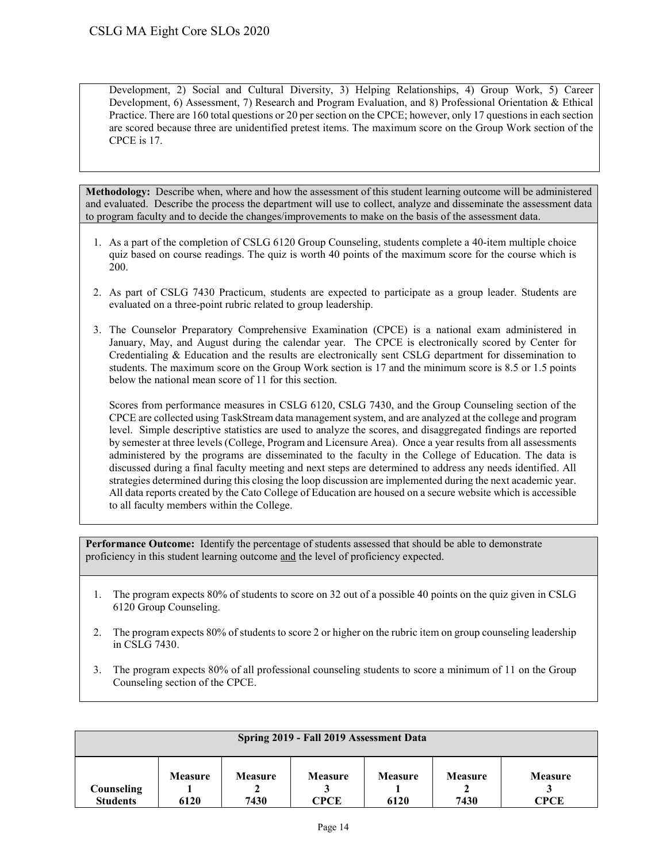Development, 2) Social and Cultural Diversity, 3) Helping Relationships, 4) Group Work, 5) Career Development, 6) Assessment, 7) Research and Program Evaluation, and 8) Professional Orientation & Ethical Practice. There are 160 total questions or 20 per section on the CPCE; however, only 17 questions in each section are scored because three are unidentified pretest items. The maximum score on the Group Work section of the CPCE is 17.

**Methodology:** Describe when, where and how the assessment of this student learning outcome will be administered and evaluated. Describe the process the department will use to collect, analyze and disseminate the assessment data to program faculty and to decide the changes/improvements to make on the basis of the assessment data.

- 1. As a part of the completion of CSLG 6120 Group Counseling, students complete a 40-item multiple choice quiz based on course readings. The quiz is worth 40 points of the maximum score for the course which is 200.
- 2. As part of CSLG 7430 Practicum, students are expected to participate as a group leader. Students are evaluated on a three-point rubric related to group leadership.
- 3. The Counselor Preparatory Comprehensive Examination (CPCE) is a national exam administered in January, May, and August during the calendar year. The CPCE is electronically scored by Center for Credentialing & Education and the results are electronically sent CSLG department for dissemination to students. The maximum score on the Group Work section is 17 and the minimum score is 8.5 or 1.5 points below the national mean score of 11 for this section.

Scores from performance measures in CSLG 6120, CSLG 7430, and the Group Counseling section of the CPCE are collected using TaskStream data management system, and are analyzed at the college and program level. Simple descriptive statistics are used to analyze the scores, and disaggregated findings are reported by semester at three levels (College, Program and Licensure Area). Once a year results from all assessments administered by the programs are disseminated to the faculty in the College of Education. The data is discussed during a final faculty meeting and next steps are determined to address any needs identified. All strategies determined during this closing the loop discussion are implemented during the next academic year. All data reports created by the Cato College of Education are housed on a secure website which is accessible to all faculty members within the College.

- 1. The program expects 80% of students to score on 32 out of a possible 40 points on the quiz given in CSLG 6120 Group Counseling.
- 2. The program expects 80% of students to score 2 or higher on the rubric item on group counseling leadership in CSLG 7430.
- 3. The program expects 80% of all professional counseling students to score a minimum of 11 on the Group Counseling section of the CPCE.

| Spring 2019 - Fall 2019 Assessment Data |                |                |                |                |                |                |  |
|-----------------------------------------|----------------|----------------|----------------|----------------|----------------|----------------|--|
| Counseling                              | <b>Measure</b> | <b>Measure</b> | <b>Measure</b> | <b>Measure</b> | <b>Measure</b> | <b>Measure</b> |  |
| <b>Students</b>                         | 6120           | 7430           | <b>CPCE</b>    | 6120           | 7430           | <b>CPCE</b>    |  |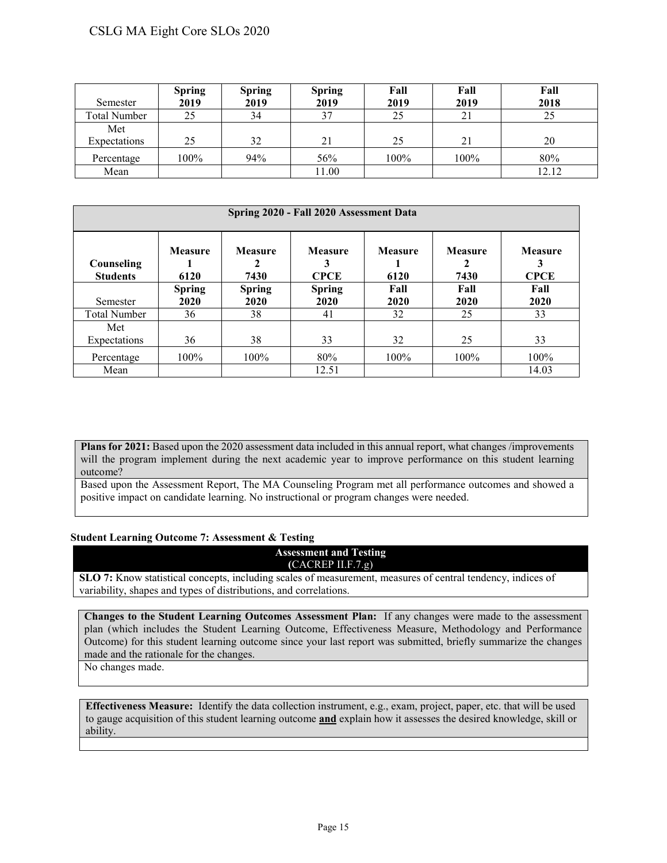# CSLG MA Eight Core SLOs 2020

| Semester            | <b>Spring</b><br>2019 | <b>Spring</b><br>2019 | <b>Spring</b><br>2019 | Fall<br>2019 | Fall<br>2019 | Fall<br>2018 |
|---------------------|-----------------------|-----------------------|-----------------------|--------------|--------------|--------------|
| <b>Total Number</b> | 25                    | 34                    | 37                    | 25           | 21           | 25           |
| Met<br>Expectations | 25                    | 32                    | 21                    | 25           | 21           | 20           |
| Percentage          | 100%                  | 94%                   | 56%                   | 100%         | 100%         | 80%          |
| Mean                |                       |                       | 11.00                 |              |              | 12.12        |

| Spring 2020 - Fall 2020 Assessment Data |                        |                        |                               |                        |                             |                               |  |  |
|-----------------------------------------|------------------------|------------------------|-------------------------------|------------------------|-----------------------------|-------------------------------|--|--|
| Counseling<br><b>Students</b>           | <b>Measure</b><br>6120 | <b>Measure</b><br>7430 | <b>Measure</b><br><b>CPCE</b> | <b>Measure</b><br>6120 | <b>Measure</b><br>2<br>7430 | <b>Measure</b><br><b>CPCE</b> |  |  |
|                                         | <b>Spring</b>          | <b>Spring</b>          | <b>Spring</b>                 | Fall                   | Fall                        | Fall                          |  |  |
| Semester                                | 2020                   | 2020                   | 2020                          | 2020                   | 2020                        | 2020                          |  |  |
| <b>Total Number</b>                     | 36                     | 38                     | 41                            | 32                     | 25                          | 33                            |  |  |
| Met                                     |                        |                        |                               |                        |                             |                               |  |  |
| Expectations                            | 36                     | 38                     | 33                            | 32                     | 25                          | 33                            |  |  |
| Percentage                              | $100\%$                | $100\%$                | 80%                           | 100%                   | 100%                        | $100\%$                       |  |  |
| Mean                                    |                        |                        | 12.51                         |                        |                             | 14.03                         |  |  |

**Plans for 2021:** Based upon the 2020 assessment data included in this annual report, what changes /improvements will the program implement during the next academic year to improve performance on this student learning outcome?

Based upon the Assessment Report, The MA Counseling Program met all performance outcomes and showed a positive impact on candidate learning. No instructional or program changes were needed.

#### **Student Learning Outcome 7: Assessment & Testing**

**Assessment and Testing (**CACREP II.F.7.g)

**SLO 7:** Know statistical concepts, including scales of measurement, measures of central tendency, indices of variability, shapes and types of distributions, and correlations.

**Changes to the Student Learning Outcomes Assessment Plan:** If any changes were made to the assessment plan (which includes the Student Learning Outcome, Effectiveness Measure, Methodology and Performance Outcome) for this student learning outcome since your last report was submitted, briefly summarize the changes made and the rationale for the changes.

No changes made.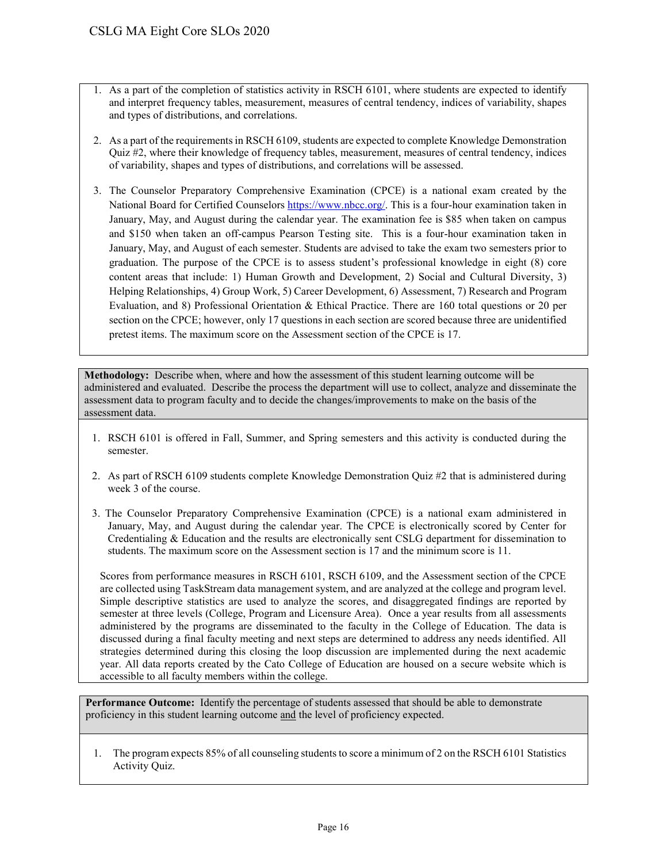- 1. As a part of the completion of statistics activity in RSCH 6101, where students are expected to identify and interpret frequency tables, measurement, measures of central tendency, indices of variability, shapes and types of distributions, and correlations.
- 2. As a part of the requirements in RSCH 6109, students are expected to complete Knowledge Demonstration Quiz #2, where their knowledge of frequency tables, measurement, measures of central tendency, indices of variability, shapes and types of distributions, and correlations will be assessed.
- 3. The Counselor Preparatory Comprehensive Examination (CPCE) is a national exam created by the National Board for Certified Counselors [https://www.nbcc.org/.](http://www.nbcc.org/Exam/NationalCounselorExaminationForLicensureAndCertification) This is a four-hour examination taken in January, May, and August during the calendar year. The examination fee is \$85 when taken on campus and \$150 when taken an off-campus Pearson Testing site. This is a four-hour examination taken in January, May, and August of each semester. Students are advised to take the exam two semesters prior to graduation. The purpose of the CPCE is to assess student's professional knowledge in eight (8) core content areas that include: 1) Human Growth and Development, 2) Social and Cultural Diversity, 3) Helping Relationships, 4) Group Work, 5) Career Development, 6) Assessment, 7) Research and Program Evaluation, and 8) Professional Orientation & Ethical Practice. There are 160 total questions or 20 per section on the CPCE; however, only 17 questions in each section are scored because three are unidentified pretest items. The maximum score on the Assessment section of the CPCE is 17.

**Methodology:** Describe when, where and how the assessment of this student learning outcome will be administered and evaluated. Describe the process the department will use to collect, analyze and disseminate the assessment data to program faculty and to decide the changes/improvements to make on the basis of the assessment data.

- 1. RSCH 6101 is offered in Fall, Summer, and Spring semesters and this activity is conducted during the semester.
- 2. As part of RSCH 6109 students complete Knowledge Demonstration Quiz #2 that is administered during week 3 of the course.
- 3. The Counselor Preparatory Comprehensive Examination (CPCE) is a national exam administered in January, May, and August during the calendar year. The CPCE is electronically scored by Center for Credentialing & Education and the results are electronically sent CSLG department for dissemination to students. The maximum score on the Assessment section is 17 and the minimum score is 11.

Scores from performance measures in RSCH 6101, RSCH 6109, and the Assessment section of the CPCE are collected using TaskStream data management system, and are analyzed at the college and program level. Simple descriptive statistics are used to analyze the scores, and disaggregated findings are reported by semester at three levels (College, Program and Licensure Area). Once a year results from all assessments administered by the programs are disseminated to the faculty in the College of Education. The data is discussed during a final faculty meeting and next steps are determined to address any needs identified. All strategies determined during this closing the loop discussion are implemented during the next academic year. All data reports created by the Cato College of Education are housed on a secure website which is accessible to all faculty members within the college.

**Performance Outcome:** Identify the percentage of students assessed that should be able to demonstrate proficiency in this student learning outcome and the level of proficiency expected.

1. The program expects 85% of all counseling students to score a minimum of 2 on the RSCH 6101 Statistics Activity Quiz.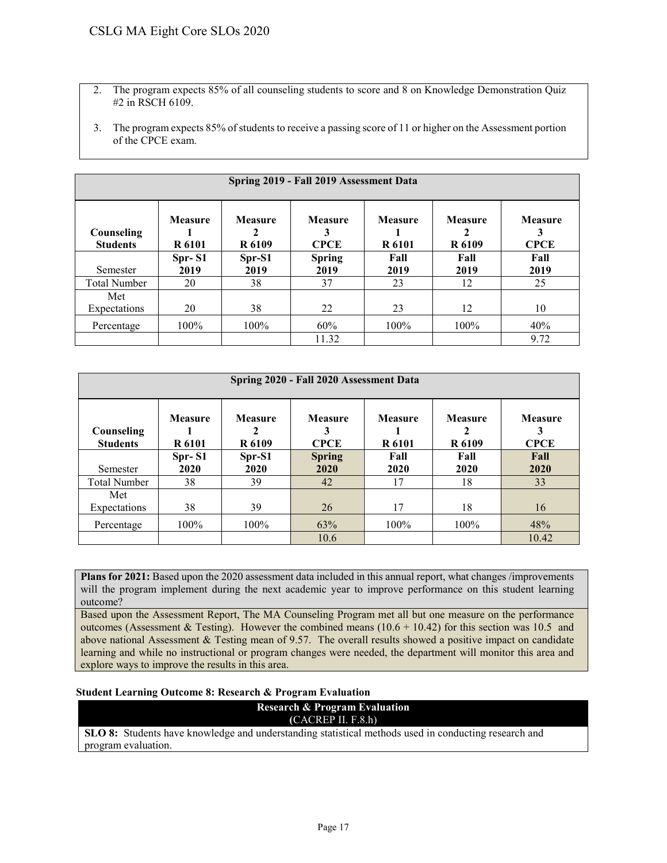- 2. The program expects 85% of all counseling students to score and 8 on Knowledge Demonstration Quiz #2 in RSCH 6109.
- 3. The program expects 85% of students to receive a passing score of 11 or higher on the Assessment portion of the CPCE exam.

| Spring 2019 - Fall 2019 Assessment Data |                          |                          |                               |                                 |                                 |                               |  |  |
|-----------------------------------------|--------------------------|--------------------------|-------------------------------|---------------------------------|---------------------------------|-------------------------------|--|--|
| Counseling<br><b>Students</b>           | Measure<br><b>R</b> 6101 | <b>Measure</b><br>R 6109 | <b>Measure</b><br><b>CPCE</b> | <b>Measure</b><br><b>R</b> 6101 | <b>Measure</b><br><b>R</b> 6109 | <b>Measure</b><br><b>CPCE</b> |  |  |
|                                         | Spr-S1                   | Spr-S1                   | <b>Spring</b>                 | Fall                            | Fall                            | Fall                          |  |  |
| Semester                                | 2019                     | 2019                     | 2019                          | 2019                            | 2019                            | 2019                          |  |  |
| <b>Total Number</b>                     | 20                       | 38                       | 37                            | 23                              | 12                              | 25                            |  |  |
| Met                                     |                          |                          |                               |                                 |                                 |                               |  |  |
| Expectations                            | 20                       | 38                       | 22                            | 23                              | 12                              | 10                            |  |  |
| Percentage                              | 100%                     | 100%                     | 60%                           | $100\%$                         | 100%                            | 40%                           |  |  |
|                                         |                          |                          | 11.32                         |                                 |                                 | 9.72                          |  |  |

| Spring 2020 - Fall 2020 Assessment Data |                                 |                               |                               |                                 |                                          |                               |  |  |
|-----------------------------------------|---------------------------------|-------------------------------|-------------------------------|---------------------------------|------------------------------------------|-------------------------------|--|--|
| Counseling<br><b>Students</b>           | <b>Measure</b><br><b>R</b> 6101 | <b>Measure</b><br>2<br>R 6109 | <b>Measure</b><br><b>CPCE</b> | <b>Measure</b><br><b>R</b> 6101 | <b>Measure</b><br>2<br>R <sub>6109</sub> | <b>Measure</b><br><b>CPCE</b> |  |  |
|                                         | $Spr-S1$                        | Spr-S1                        | <b>Spring</b>                 | Fall                            | Fall                                     | Fall                          |  |  |
| Semester                                | 2020                            | 2020                          | 2020                          | 2020                            | 2020                                     | 2020                          |  |  |
| <b>Total Number</b>                     | 38                              | 39                            | 42                            | 17                              | 18                                       | 33                            |  |  |
| Met                                     |                                 |                               |                               |                                 |                                          |                               |  |  |
| Expectations                            | 38                              | 39                            | 26                            | 17                              | 18                                       | 16                            |  |  |
| Percentage                              | $100\%$                         | $100\%$                       | 63%                           | 100%                            | 100%                                     | 48%                           |  |  |
|                                         |                                 |                               | 10.6                          |                                 |                                          | 10.42                         |  |  |

**Plans for 2021:** Based upon the 2020 assessment data included in this annual report, what changes /improvements will the program implement during the next academic year to improve performance on this student learning outcome?

Based upon the Assessment Report, The MA Counseling Program met all but one measure on the performance outcomes (Assessment & Testing). However the combined means  $(10.6 + 10.42)$  for this section was 10.5 and above national Assessment & Testing mean of 9.57. The overall results showed a positive impact on candidate learning and while no instructional or program changes were needed, the department will monitor this area and explore ways to improve the results in this area.

#### **Student Learning Outcome 8: Research & Program Evaluation**

**Research & Program Evaluation** 

**(**CACREP II. F.8.h)

**SLO 8:** Students have knowledge and understanding statistical methods used in conducting research and program evaluation.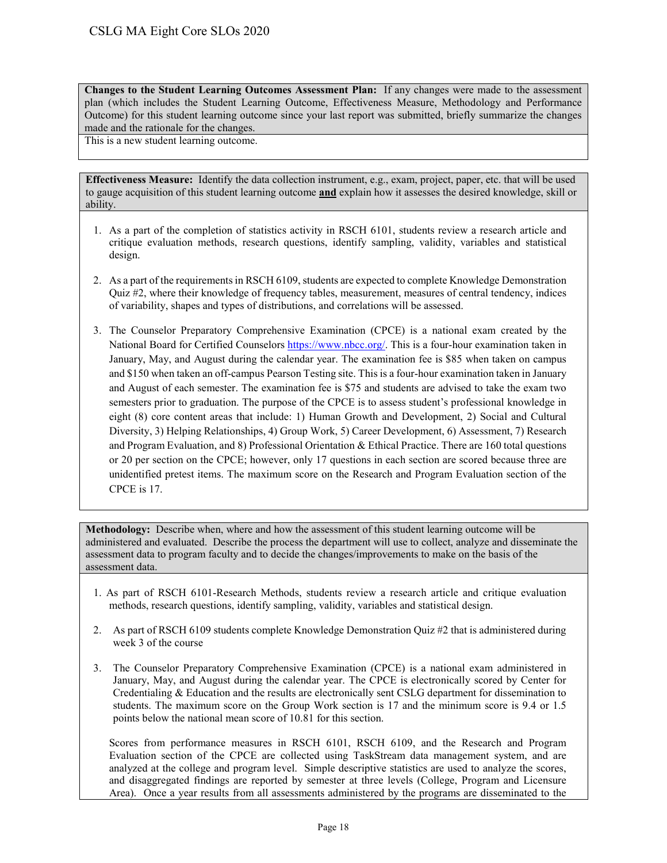**Changes to the Student Learning Outcomes Assessment Plan:** If any changes were made to the assessment plan (which includes the Student Learning Outcome, Effectiveness Measure, Methodology and Performance Outcome) for this student learning outcome since your last report was submitted, briefly summarize the changes made and the rationale for the changes.

This is a new student learning outcome.

**Effectiveness Measure:** Identify the data collection instrument, e.g., exam, project, paper, etc. that will be used to gauge acquisition of this student learning outcome **and** explain how it assesses the desired knowledge, skill or ability.

- 1. As a part of the completion of statistics activity in RSCH 6101, students review a research article and critique evaluation methods, research questions, identify sampling, validity, variables and statistical design.
- 2. As a part of the requirements in RSCH 6109, students are expected to complete Knowledge Demonstration Quiz #2, where their knowledge of frequency tables, measurement, measures of central tendency, indices of variability, shapes and types of distributions, and correlations will be assessed.
- 3. The Counselor Preparatory Comprehensive Examination (CPCE) is a national exam created by the National Board for Certified Counselors [https://www.nbcc.org/.](http://www.nbcc.org/Exam/NationalCounselorExaminationForLicensureAndCertification) This is a four-hour examination taken in January, May, and August during the calendar year. The examination fee is \$85 when taken on campus and \$150 when taken an off-campus Pearson Testing site. This is a four-hour examination taken in January and August of each semester. The examination fee is \$75 and students are advised to take the exam two semesters prior to graduation. The purpose of the CPCE is to assess student's professional knowledge in eight (8) core content areas that include: 1) Human Growth and Development, 2) Social and Cultural Diversity, 3) Helping Relationships, 4) Group Work, 5) Career Development, 6) Assessment, 7) Research and Program Evaluation, and 8) Professional Orientation & Ethical Practice. There are 160 total questions or 20 per section on the CPCE; however, only 17 questions in each section are scored because three are unidentified pretest items. The maximum score on the Research and Program Evaluation section of the CPCE is 17.

**Methodology:** Describe when, where and how the assessment of this student learning outcome will be administered and evaluated. Describe the process the department will use to collect, analyze and disseminate the assessment data to program faculty and to decide the changes/improvements to make on the basis of the assessment data.

- 1. As part of RSCH 6101-Research Methods, students review a research article and critique evaluation methods, research questions, identify sampling, validity, variables and statistical design.
- 2. As part of RSCH 6109 students complete Knowledge Demonstration Quiz #2 that is administered during week 3 of the course
- 3. The Counselor Preparatory Comprehensive Examination (CPCE) is a national exam administered in January, May, and August during the calendar year. The CPCE is electronically scored by Center for Credentialing & Education and the results are electronically sent CSLG department for dissemination to students. The maximum score on the Group Work section is 17 and the minimum score is 9.4 or 1.5 points below the national mean score of 10.81 for this section.

Scores from performance measures in RSCH 6101, RSCH 6109, and the Research and Program Evaluation section of the CPCE are collected using TaskStream data management system, and are analyzed at the college and program level. Simple descriptive statistics are used to analyze the scores, and disaggregated findings are reported by semester at three levels (College, Program and Licensure Area). Once a year results from all assessments administered by the programs are disseminated to the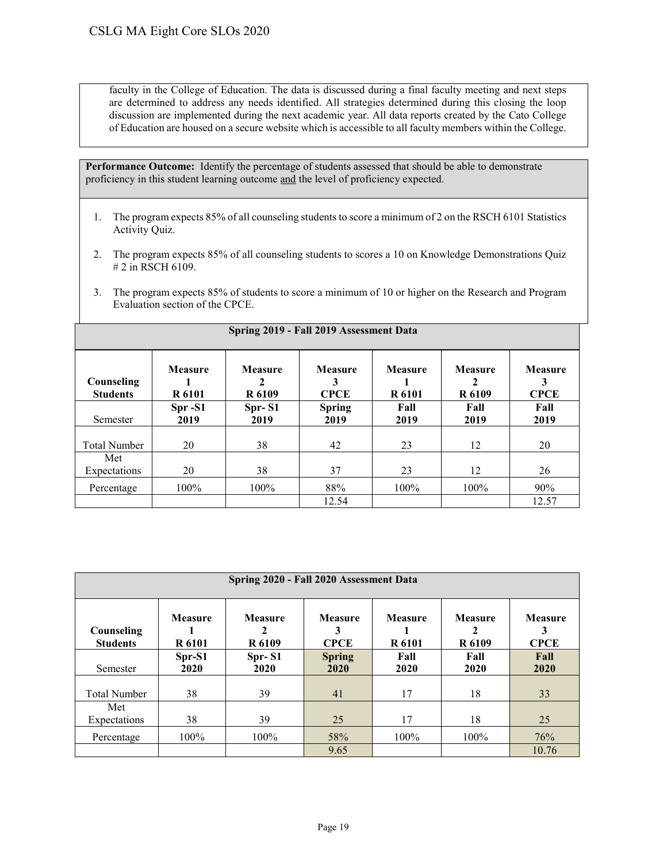faculty in the College of Education. The data is discussed during a final faculty meeting and next steps are determined to address any needs identified. All strategies determined during this closing the loop discussion are implemented during the next academic year. All data reports created by the Cato College of Education are housed on a secure website which is accessible to all faculty members within the College.

**Performance Outcome:** Identify the percentage of students assessed that should be able to demonstrate proficiency in this student learning outcome and the level of proficiency expected.

- 1. The program expects 85% of all counseling students to score a minimum of 2 on the RSCH 6101 Statistics Activity Quiz.
- 2. The program expects 85% of all counseling students to scores a 10 on Knowledge Demonstrations Quiz # 2 in RSCH 6109.
- 3. The program expects 85% of students to score a minimum of 10 or higher on the Research and Program Evaluation section of the CPCE.

**Spring 2019 - Fall 2019 Assessment Data**

| Counseling<br><b>Students</b> | <b>Measure</b><br><b>R</b> 6101 | <b>Measure</b><br>R 6109 | <b>Measure</b><br>3<br><b>CPCE</b> | <b>Measure</b><br><b>R</b> 6101 | <b>Measure</b><br><b>R</b> 6109 | <b>Measure</b><br><b>CPCE</b> |
|-------------------------------|---------------------------------|--------------------------|------------------------------------|---------------------------------|---------------------------------|-------------------------------|
| Semester                      | Spr-S1<br>2019                  | Spr-S1<br>2019           | <b>Spring</b><br>2019              | Fall<br>2019                    | Fall<br>2019                    | Fall<br>2019                  |
| <b>Total Number</b>           | 20                              | 38                       | 42                                 | 23                              | 12                              | 20                            |
| Met<br>Expectations           | 20                              | 38                       | 37                                 | 23                              | 12                              | 26                            |
| Percentage                    | $100\%$                         | $100\%$                  | 88%                                | $100\%$                         | $100\%$                         | 90%                           |
|                               |                                 |                          | 12.54                              |                                 |                                 | 12.57                         |

| Spring 2020 - Fall 2020 Assessment Data |                                 |                          |                                    |                          |                          |                                    |  |  |
|-----------------------------------------|---------------------------------|--------------------------|------------------------------------|--------------------------|--------------------------|------------------------------------|--|--|
| Counseling<br><b>Students</b>           | <b>Measure</b><br><b>R</b> 6101 | <b>Measure</b><br>R 6109 | <b>Measure</b><br>3<br><b>CPCE</b> | <b>Measure</b><br>R 6101 | <b>Measure</b><br>R 6109 | <b>Measure</b><br>3<br><b>CPCE</b> |  |  |
| Semester                                | Spr-S1<br>2020                  | Spr-S1<br>2020           | <b>Spring</b><br>2020              | Fall<br>2020             | Fall<br>2020             | Fall<br>2020                       |  |  |
| <b>Total Number</b>                     | 38                              | 39                       | 41                                 | 17                       | 18                       | 33                                 |  |  |
| Met<br>Expectations                     | 38                              | 39                       | 25                                 | 17                       | 18                       | 25                                 |  |  |
| Percentage                              | $100\%$                         | 100%                     | 58%                                | 100%                     | 100%                     | 76%                                |  |  |
|                                         |                                 |                          | 9.65                               |                          |                          | 10.76                              |  |  |